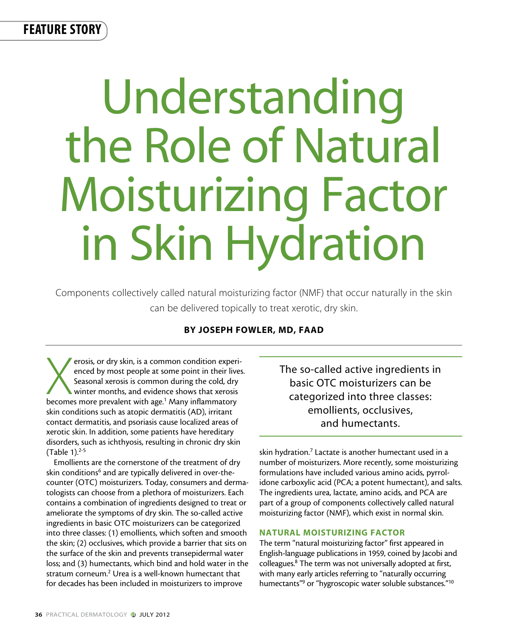feature story

# Understanding the Role of Natural Moisturizing Factor in Skin Hydration

Components collectively called natural moisturizing factor (NMF) that occur naturally in the skin can be delivered topically to treat xerotic, dry skin.

# By Joseph Fowler, MD, FAAD

erosis, or dry skin, is a common condition experienced by most people at some point in their live<br>Seasonal xerosis is common during the cold, dry<br>winter months, and evidence shows that xerosis<br>becomes more prevalent with a erosis, or dry skin, is a common condition experienced by most people at some point in their lives. Seasonal xerosis is common during the cold, dry winter months, and evidence shows that xerosis skin conditions such as atopic dermatitis (AD), irritant contact dermatitis, and psoriasis cause localized areas of xerotic skin. In addition, some patients have hereditary disorders, such as ichthyosis, resulting in chronic dry skin  $(Table 1).^{2-5}$ 

Emollients are the cornerstone of the treatment of dry skin conditions<sup>6</sup> and are typically delivered in over-thecounter (OTC) moisturizers. Today, consumers and dermatologists can choose from a plethora of moisturizers. Each contains a combination of ingredients designed to treat or ameliorate the symptoms of dry skin. The so-called active ingredients in basic OTC moisturizers can be categorized into three classes: (1) emollients, which soften and smooth the skin; (2) occlusives, which provide a barrier that sits on the surface of the skin and prevents transepidermal water loss; and (3) humectants, which bind and hold water in the stratum corneum.<sup>2</sup> Urea is a well-known humectant that for decades has been included in moisturizers to improve

The so-called active ingredients in basic OTC moisturizers can be categorized into three classes: emollients, occlusives, and humectants.

skin hydration.<sup>7</sup> Lactate is another humectant used in a number of moisturizers. More recently, some moisturizing formulations have included various amino acids, pyrrolidone carboxylic acid (PCA; a potent humectant), and salts. The ingredients urea, lactate, amino acids, and PCA are part of a group of components collectively called natural moisturizing factor (NMF), which exist in normal skin.

## NATURAL MOISTURIZING FACTOR

The term "natural moisturizing factor" first appeared in English-language publications in 1959, coined by Jacobi and colleagues.<sup>8</sup> The term was not universally adopted at first, with many early articles referring to "naturally occurring humectants"<sup>9</sup> or "hygroscopic water soluble substances."<sup>10</sup>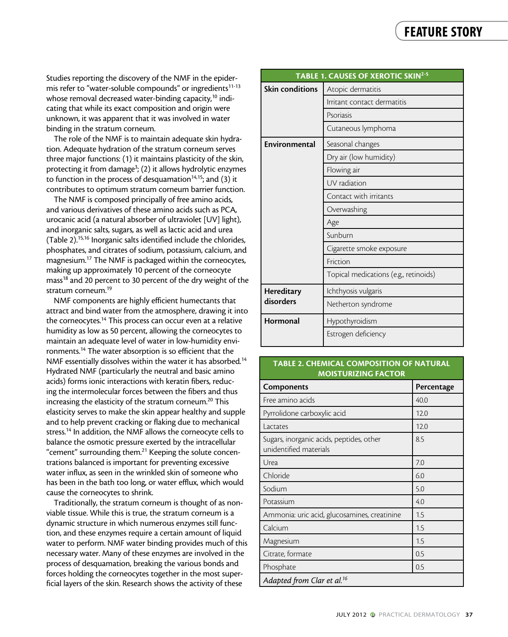Studies reporting the discovery of the NMF in the epidermis refer to "water-soluble compounds" or ingredients<sup>11-13</sup> whose removal decreased water-binding capacity,<sup>10</sup> indicating that while its exact composition and origin were unknown, it was apparent that it was involved in water binding in the stratum corneum.

The role of the NMF is to maintain adequate skin hydration. Adequate hydration of the stratum corneum serves three major functions: (1) it maintains plasticity of the skin, protecting it from damage<sup>3</sup>; (2) it allows hydrolytic enzymes to function in the process of desquamation<sup>14,15</sup>; and (3) it contributes to optimum stratum corneum barrier function.

phosphates, and citrates of sodium, potassium, calcium, and magnesium.<sup>17</sup> The NMF is packaged within the corneocytes, making up approximately 10 percent of the corneocyte mass<sup>18</sup> and 20 percent to 30 percent of the dry w magnesium.<sup>17</sup> The NMF is packaged within the corneocytes, making up approximately 10 percent of the corneocyte mass<sup>18</sup> and 20 percent to 30 percent of the dry weight of the stratum corneum. $^{19}$ The NMF is composed principally of free amino acids, and various derivatives of these amino acids such as PCA, urocanic acid (a natural absorber of ultraviolet [UV] light), and inorganic salts, sugars, as well as lactic acid and urea (Table 2).15,16 Inorganic salts identified include the chlorides,

NMF components are highly efficient humectants that attract and bind water from the atmosphere, drawing it into the corneocytes.<sup>14</sup> This process can occur even at a relative humidity as low as 50 percent, allowing the corneocytes to maintain an adequate level of water in low-humidity environments.14 The water absorption is so efficient that the NMF essentially dissolves within the water it has absorbed.<sup>14</sup> Hydrated NMF (particularly the neutral and basic amino acids) forms ionic interactions with keratin fibers, reducing the intermolecular forces between the fibers and thus increasing the elasticity of the stratum corneum.<sup>20</sup> This elasticity serves to make the skin appear healthy and supple and to help prevent cracking or flaking due to mechanical stress.<sup>14</sup> In addition, the NMF allows the corneocyte cells to balance the osmotic pressure exerted by the intracellular "cement" surrounding them.21 Keeping the solute concentrations balanced is important for preventing excessive water influx, as seen in the wrinkled skin of someone who has been in the bath too long, or water efflux, which would cause the corneocytes to shrink.

Traditionally, the stratum corneum is thought of as nonviable tissue. While this is true, the stratum corneum is a dynamic structure in which numerous enzymes still function, and these enzymes require a certain amount of liquid water to perform. NMF water binding provides much of this necessary water. Many of these enzymes are involved in the process of desquamation, breaking the various bonds and forces holding the corneocytes together in the most superficial layers of the skin. Research shows the activity of these

| he NMF in the epider-                                                                                                                                                                                                                                                                                                                                                                                                           | TABLE 1. CAUSES OF XEROTIC SKIN <sup>2-5</sup> |                                       |
|---------------------------------------------------------------------------------------------------------------------------------------------------------------------------------------------------------------------------------------------------------------------------------------------------------------------------------------------------------------------------------------------------------------------------------|------------------------------------------------|---------------------------------------|
| unds" or ingredients <sup>11-13</sup><br>nding capacity, <sup>10</sup> indi-<br>tion and origin were<br>as involved in water                                                                                                                                                                                                                                                                                                    | <b>Skin conditions</b>                         | Atopic dermatitis                     |
|                                                                                                                                                                                                                                                                                                                                                                                                                                 |                                                | Irritant contact dermatitis           |
|                                                                                                                                                                                                                                                                                                                                                                                                                                 |                                                | Psoriasis                             |
|                                                                                                                                                                                                                                                                                                                                                                                                                                 |                                                | Cutaneous lymphoma                    |
| in adequate skin hydra-<br>atum corneum serves<br>ins plasticity of the skin,<br>llows hydrolytic enzymes<br>amation $14,15$ ; and (3) it<br>orneum barrier function.<br>y of free amino acids,<br>ino acids such as PCA,<br>f ultraviolet [UV] light),<br>s lactic acid and urea<br>ed include the chlorides,<br>, potassium, calcium, and<br>d within the corneocytes,<br>nt of the corneocyte<br>it of the dry weight of the | Environmental                                  | Seasonal changes                      |
|                                                                                                                                                                                                                                                                                                                                                                                                                                 |                                                | Dry air (low humidity)                |
|                                                                                                                                                                                                                                                                                                                                                                                                                                 |                                                | Flowing air                           |
|                                                                                                                                                                                                                                                                                                                                                                                                                                 |                                                | UV radiation                          |
|                                                                                                                                                                                                                                                                                                                                                                                                                                 |                                                | Contact with irritants                |
|                                                                                                                                                                                                                                                                                                                                                                                                                                 |                                                | Overwashing                           |
|                                                                                                                                                                                                                                                                                                                                                                                                                                 |                                                | Age                                   |
|                                                                                                                                                                                                                                                                                                                                                                                                                                 |                                                | Sunburn                               |
|                                                                                                                                                                                                                                                                                                                                                                                                                                 |                                                | Cigarette smoke exposure              |
|                                                                                                                                                                                                                                                                                                                                                                                                                                 |                                                | Friction                              |
|                                                                                                                                                                                                                                                                                                                                                                                                                                 |                                                | Topical medications (e.g., retinoids) |
|                                                                                                                                                                                                                                                                                                                                                                                                                                 | Hereditary<br>disorders                        | Ichthyosis vulgaris                   |
| cient humectants that<br>mosphere, drawing it into<br>occur even at a relative<br>wing the corneocytes to<br>r in low-humidity envi-                                                                                                                                                                                                                                                                                            |                                                | Netherton syndrome                    |
|                                                                                                                                                                                                                                                                                                                                                                                                                                 | Hormonal                                       | Hypothyroidism                        |
|                                                                                                                                                                                                                                                                                                                                                                                                                                 |                                                | Estrogen deficiency                   |

## Table 2. Chemical Composition of Natural Moisturizing Factor

| <b>Components</b>                                                  | Percentage |  |  |
|--------------------------------------------------------------------|------------|--|--|
| Free amino acids                                                   | 40.0       |  |  |
| Pyrrolidone carboxylic acid                                        | 12.0       |  |  |
| Lactates                                                           | 12.0       |  |  |
| Sugars, inorganic acids, peptides, other<br>unidentified materials | 8.5        |  |  |
| Urea                                                               | 7.0        |  |  |
| Chloride                                                           | 6.0        |  |  |
| Sodium                                                             | 5.0        |  |  |
| Potassium                                                          | 4.0        |  |  |
| Ammonia: uric acid, glucosamines, creatinine                       | 1.5        |  |  |
| Calcium                                                            | 1.5        |  |  |
| Magnesium                                                          | 1.5        |  |  |
| Citrate, formate                                                   | 0.5        |  |  |
| Phosphate                                                          | 0.5        |  |  |
| Adapted from Clar et al. <sup>16</sup>                             |            |  |  |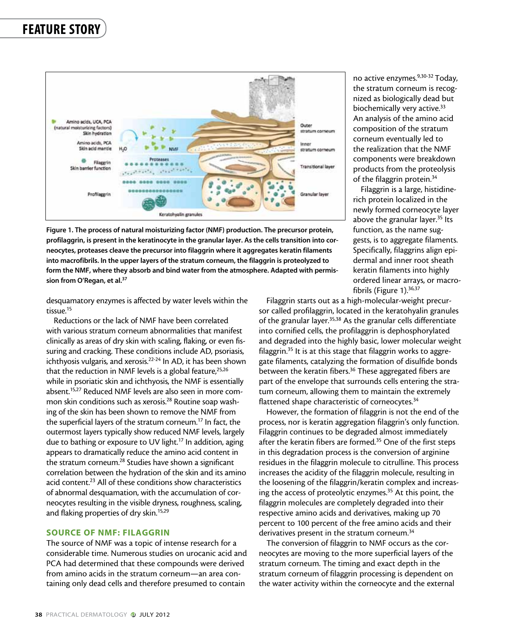

no active enzymes.<sup>9,30-32</sup> Today, the stratum corneum is recognized as biologically dead but biochemically very active.<sup>33</sup> An analysis of the amino acid composition of the stratum corneum eventually led to the realization that the NMF components were breakdown products from the proteolysis of the filaggrin protein.34

Filaggrin is a large, histidinerich protein localized in the newly formed corneocyte layer above the granular layer.<sup>35</sup> Its function, as the name suggests, is to aggregate filaments. Specifically, filaggrins align epidermal and inner root sheath keratin filaments into highly ordered linear arrays, or macrofibrils (Figure 1).<sup>36,37</sup>

Figure 1. The process of natural moisturizing factor (NMF) production. The precursor protein, profilaggrin, is present in the keratinocyte in the granular layer. As the cells transition into corneocytes, proteases cleave the precursor into filaggrin where it aggregates keratin filaments into macrofibrils. In the upper layers of the stratum corneum, the filaggrin is proteolyzed to form the NMF, where they absorb and bind water from the atmosphere. Adapted with permission from O'Regan, et al.<sup>37</sup>

desquamatory enzymes is affected by water levels within the tissue.15

Reductions or the lack of NMF have been correlated with various stratum corneum abnormalities that manifest clinically as areas of dry skin with scaling, flaking, or even fissuring and cracking. These conditions include AD, psoriasis, ichthyosis vulgaris, and xerosis.22-24 In AD, it has been shown that the reduction in NMF levels is a global feature,  $25,26$ while in psoriatic skin and ichthyosis, the NMF is essentially absent.15,27 Reduced NMF levels are also seen in more common skin conditions such as xerosis.28 Routine soap washing of the skin has been shown to remove the NMF from the superficial layers of the stratum corneum.17 In fact, the outermost layers typically show reduced NMF levels, largely due to bathing or exposure to UV light.<sup>17</sup> In addition, aging appears to dramatically reduce the amino acid content in the stratum corneum.<sup>28</sup> Studies have shown a significant correlation between the hydration of the skin and its amino acid content.<sup>23</sup> All of these conditions show characteristics of abnormal desquamation, with the accumulation of corneocytes resulting in the visible dryness, roughness, scaling, and flaking properties of dry skin.<sup>15,29</sup>

### SOURCE OF NMF: FILAGGRIN

The source of NMF was a topic of intense research for a considerable time. Numerous studies on urocanic acid and PCA had determined that these compounds were derived from amino acids in the stratum corneum—an area containing only dead cells and therefore presumed to contain

Filaggrin starts out as a high-molecular-weight precursor called profilaggrin, located in the keratohyalin granules of the granular layer.<sup>35,38</sup> As the granular cells differentiate into cornified cells, the profilaggrin is dephosphorylated and degraded into the highly basic, lower molecular weight filaggrin.<sup>35</sup> It is at this stage that filaggrin works to aggregate filaments, catalyzing the formation of disulfide bonds between the keratin fibers.<sup>36</sup> These aggregated fibers are part of the envelope that surrounds cells entering the stratum corneum, allowing them to maintain the extremely flattened shape characteristic of corneocytes.<sup>34</sup>

However, the formation of filaggrin is not the end of the process, nor is keratin aggregation filaggrin's only function. Filaggrin continues to be degraded almost immediately after the keratin fibers are formed.<sup>35</sup> One of the first steps in this degradation process is the conversion of arginine residues in the filaggrin molecule to citrulline. This process increases the acidity of the filaggrin molecule, resulting in the loosening of the filaggrin/keratin complex and increasing the access of proteolytic enzymes.<sup>35</sup> At this point, the filaggrin molecules are completely degraded into their respective amino acids and derivatives, making up 70 percent to 100 percent of the free amino acids and their derivatives present in the stratum corneum.<sup>34</sup>

The conversion of filaggrin to NMF occurs as the corneocytes are moving to the more superficial layers of the stratum corneum. The timing and exact depth in the stratum corneum of filaggrin processing is dependent on the water activity within the corneocyte and the external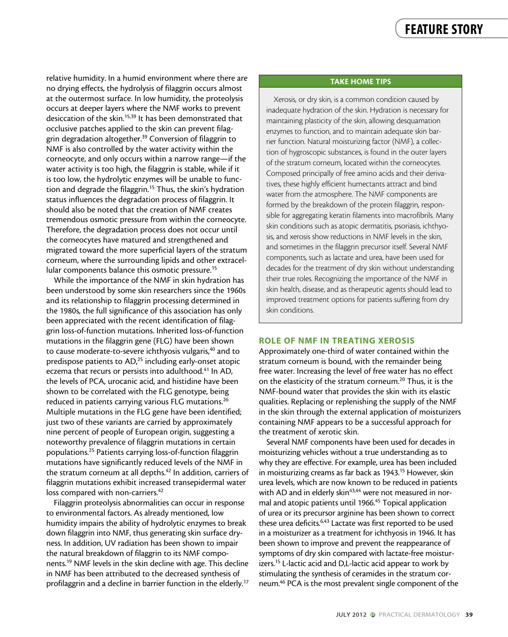relative humidity. In a humid environment where there are no drying effects, the hydrolysis of filaggrin occurs almost at the outermost surface. In low humidity, the proteolysis occurs at deeper layers where the NMF works to prevent desiccation of the skin.15,39 It has been demonstrated that occlusive patches applied to the skin can prevent filaggrin degradation altogether.39 Conversion of filaggrin to NMF is also controlled by the water activity within the corneocyte, and only occurs within a narrow range—if the water activity is too high, the filaggrin is stable, while if it is too low, the hydrolytic enzymes will be unable to function and degrade the filaggrin.<sup>15</sup> Thus, the skin's hydration status influences the degradation process of filaggrin. It should also be noted that the creation of NMF creates tremendous osmotic pressure from within the corneocyte. Therefore, the degradation process does not occur until the corneocytes have matured and strengthened and migrated toward the more superficial layers of the stratum corneum, where the surrounding lipids and other extracellular components balance this osmotic pressure.<sup>15</sup>

While the importance of the NMF in skin hydration has been understood by some skin researchers since the 1960s and its relationship to filaggrin processing determined in the 1980s, the full significance of this association has only been appreciated with the recent identification of filaggrin loss-of-function mutations. Inherited loss-of-function mutations in the filaggrin gene (FLG) have been shown to cause moderate-to-severe ichthyosis vulgaris,<sup>40</sup> and to predispose patients to AD,<sup>25</sup> including early-onset atopic eczema that recurs or persists into adulthood.<sup>41</sup> In AD, the levels of PCA, urocanic acid, and histidine have been shown to be correlated with the FLG genotype, being reduced in patients carrying various FLG mutations.<sup>26</sup> Multiple mutations in the FLG gene have been identified; just two of these variants are carried by approximately nine percent of people of European origin, suggesting a noteworthy prevalence of filaggrin mutations in certain populations.25 Patients carrying loss-of-function filaggrin mutations have significantly reduced levels of the NMF in the stratum corneum at all depths.<sup>42</sup> In addition, carriers of filaggrin mutations exhibit increased transepidermal water loss compared with non-carriers.<sup>42</sup>

Filaggrin proteolysis abnormalities can occur in response to environmental factors. As already mentioned, low humidity impairs the ability of hydrolytic enzymes to break down filaggrin into NMF, thus generating skin surface dryness. In addition, UV radiation has been shown to impair the natural breakdown of filaggrin to its NMF components.19 NMF levels in the skin decline with age. This decline in NMF has been attributed to the decreased synthesis of profilaggrin and a decline in barrier function in the elderly.<sup>17</sup>

### Take Home Tips

Xerosis, or dry skin, is a common condition caused by inadequate hydration of the skin. Hydration is necessary for maintaining plasticity of the skin, allowing desquamation enzymes to function, and to maintain adequate skin barrier function. Natural moisturizing factor (NMF), a collection of hygroscopic substances, is found in the outer layers of the stratum corneum, located within the corneocytes. Composed principally of free amino acids and their derivatives, these highly efficient humectants attract and bind water from the atmosphere. The NMF components are formed by the breakdown of the protein filaggrin, responsible for aggregating keratin filaments into macrofibrils. Many skin conditions such as atopic dermatitis, psoriasis, ichthyosis, and xerosis show reductions in NMF levels in the skin, and sometimes in the filaggrin precursor itself. Several NMF components, such as lactate and urea, have been used for decades for the treatment of dry skin without understanding their true roles. Recognizing the importance of the NMF in skin health, disease, and as therapeutic agents should lead to improved treatment options for patients suffering from dry skin conditions.

### ROLE OF NMF IN TREATING XEROSIS

Approximately one-third of water contained within the stratum corneum is bound, with the remainder being free water. Increasing the level of free water has no effect on the elasticity of the stratum corneum.20 Thus, it is the NMF-bound water that provides the skin with its elastic qualities. Replacing or replenishing the supply of the NMF in the skin through the external application of moisturizers containing NMF appears to be a successful approach for the treatment of xerotic skin.

Several NMF components have been used for decades in moisturizing vehicles without a true understanding as to why they are effective. For example, urea has been included in moisturizing creams as far back as 1943.<sup>15</sup> However, skin urea levels, which are now known to be reduced in patients with AD and in elderly skin<sup>43,44</sup> were not measured in normal and atopic patients until 1966.<sup>45</sup> Topical application of urea or its precursor arginine has been shown to correct these urea deficits.<sup>6,43</sup> Lactate was first reported to be used in a moisturizer as a treatment for ichthyosis in 1946. It has been shown to improve and prevent the reappearance of symptoms of dry skin compared with lactate-free moisturizers.<sup>15</sup> L-lactic acid and D,L-lactic acid appear to work by stimulating the synthesis of ceramides in the stratum corneum.46 PCA is the most prevalent single component of the